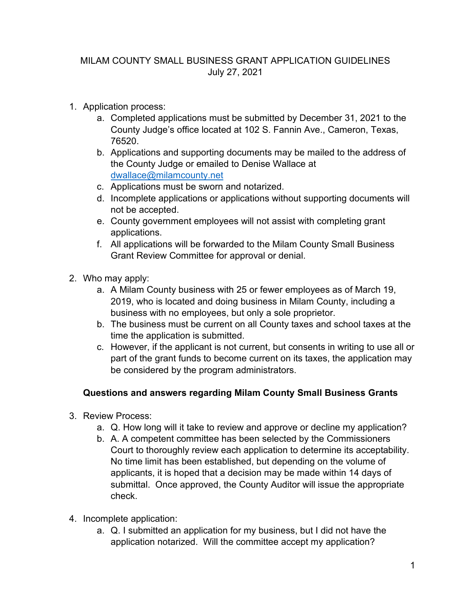## MILAM COUNTY SMALL BUSINESS GRANT APPLICATION GUIDELINES July 27, 2021

- 1. Application process:
	- a. Completed applications must be submitted by December 31, 2021 to the County Judge's office located at 102 S. Fannin Ave., Cameron, Texas, 76520.
	- b. Applications and supporting documents may be mailed to the address of the County Judge or emailed to Denise Wallace at [dwallace@milamcounty.net](mailto:dwallace@milamcounty.net)
	- c. Applications must be sworn and notarized.
	- d. Incomplete applications or applications without supporting documents will not be accepted.
	- e. County government employees will not assist with completing grant applications.
	- f. All applications will be forwarded to the Milam County Small Business Grant Review Committee for approval or denial.
- 2. Who may apply:
	- a. A Milam County business with 25 or fewer employees as of March 19, 2019, who is located and doing business in Milam County, including a business with no employees, but only a sole proprietor.
	- b. The business must be current on all County taxes and school taxes at the time the application is submitted.
	- c. However, if the applicant is not current, but consents in writing to use all or part of the grant funds to become current on its taxes, the application may be considered by the program administrators.

## **Questions and answers regarding Milam County Small Business Grants**

- 3. Review Process:
	- a. Q. How long will it take to review and approve or decline my application?
	- b. A. A competent committee has been selected by the Commissioners Court to thoroughly review each application to determine its acceptability. No time limit has been established, but depending on the volume of applicants, it is hoped that a decision may be made within 14 days of submittal. Once approved, the County Auditor will issue the appropriate check.
- 4. Incomplete application:
	- a. Q. I submitted an application for my business, but I did not have the application notarized. Will the committee accept my application?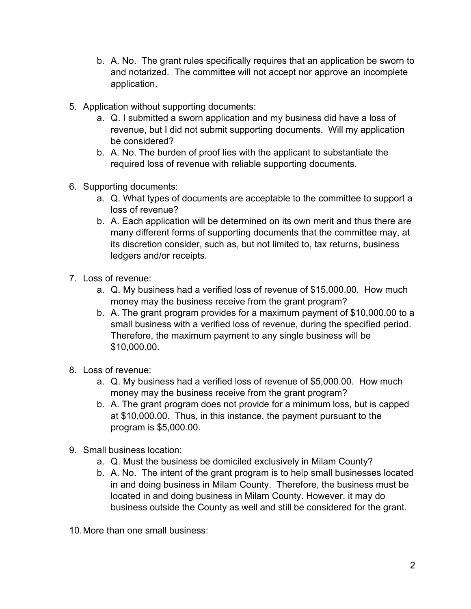- b. A. No. The grant rules specifically requires that an application be sworn to and notarized. The committee will not accept nor approve an incomplete application.
- 5. Application without supporting documents:
	- a. Q. I submitted a sworn application and my business did have a loss of revenue, but I did not submit supporting documents. Will my application be considered?
	- b. A. No. The burden of proof lies with the applicant to substantiate the required loss of revenue with reliable supporting documents.
- 6. Supporting documents:
	- a. Q. What types of documents are acceptable to the committee to support a loss of revenue?
	- b. A. Each application will be determined on its own merit and thus there are many different forms of supporting documents that the committee may, at its discretion consider, such as, but not limited to, tax returns, business ledgers and/or receipts.
- 7. Loss of revenue:
	- a. Q. My business had a verified loss of revenue of \$15,000.00. How much money may the business receive from the grant program?
	- b. A. The grant program provides for a maximum payment of \$10,000.00 to a small business with a verified loss of revenue, during the specified period. Therefore, the maximum payment to any single business will be \$10,000.00.
- 8. Loss of revenue:
	- a. Q. My business had a verified loss of revenue of \$5,000.00. How much money may the business receive from the grant program?
	- b. A. The grant program does not provide for a minimum loss, but is capped at \$10,000.00. Thus, in this instance, the payment pursuant to the program is \$5,000.00.
- 9. Small business location:
	- a. Q. Must the business be domiciled exclusively in Milam County?
	- b. A. No. The intent of the grant program is to help small businesses located in and doing business in Milam County. Therefore, the business must be located in and doing business in Milam County. However, it may do business outside the County as well and still be considered for the grant.
- 10.More than one small business: